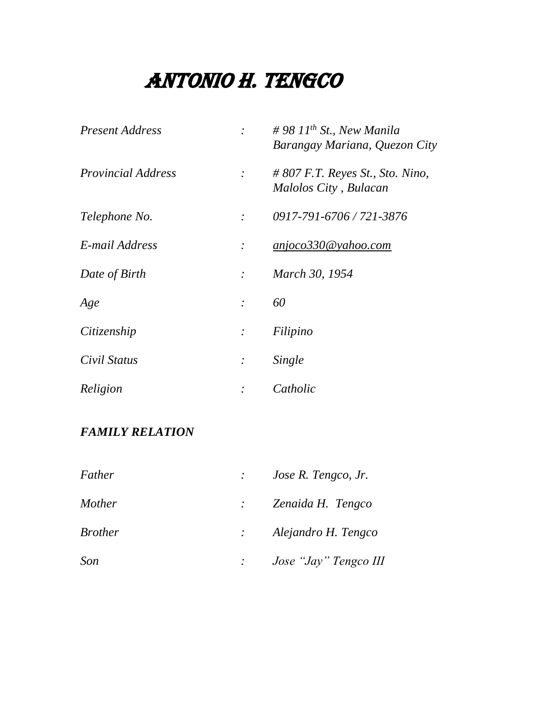| <b>Present Address</b>    |               | # 98 $11^{th}$ St., New Manila<br>Barangay Mariana, Quezon City |
|---------------------------|---------------|-----------------------------------------------------------------|
| <i>Provincial Address</i> |               | $\#$ 807 F.T. Reyes St., Sto. Nino,<br>Malolos City, Bulacan    |
| Telephone No.             | $\cdot$       | 0917-791-6706 / 721-3876                                        |
| E-mail Address            |               | anjoco330@yahoo.com                                             |
| Date of Birth             | $\mathcal{L}$ | March 30, 1954                                                  |
| Age                       | $\cdot$       | 60                                                              |
| Citizenship               |               | Filipino                                                        |
| Civil Status              |               | Single                                                          |
| Religion                  |               | Catholic                                                        |

## *FAMILY RELATION*

| Father         | Jose R. Tengco, Jr.            |
|----------------|--------------------------------|
| <i>Mother</i>  | $\therefore$ Zenaida H. Tengco |
| <i>Brother</i> | : Alejandro H. Tengco          |
| Son            | Jose "Jay" Tengco III          |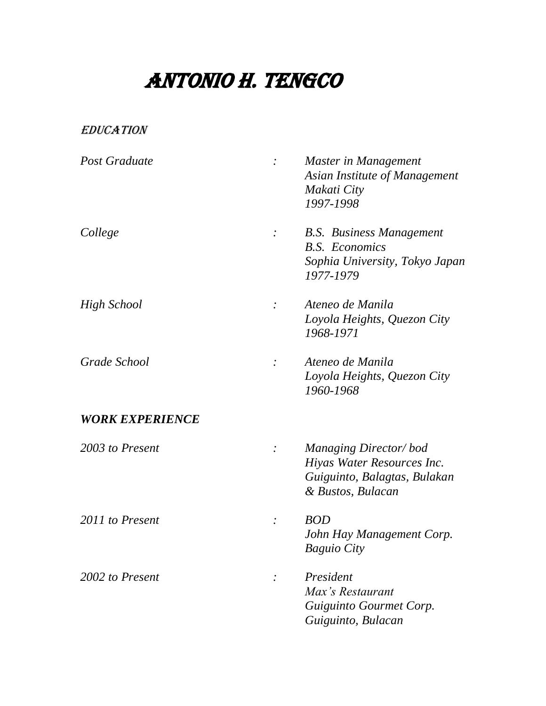### EDUCATION

| Post Graduate          | $\cdot$ | Master in Management<br>Asian Institute of Management<br>Makati City<br>1997-1998                               |
|------------------------|---------|-----------------------------------------------------------------------------------------------------------------|
| College                |         | <b>B.S.</b> Business Management<br><b>B.S.</b> Economics<br>Sophia University, Tokyo Japan<br>1977-1979         |
| <b>High School</b>     |         | Ateneo de Manila<br>Loyola Heights, Quezon City<br>1968-1971                                                    |
| Grade School           |         | Ateneo de Manila<br>Loyola Heights, Quezon City<br>1960-1968                                                    |
| <b>WORK EXPERIENCE</b> |         |                                                                                                                 |
| 2003 to Present        |         | <b>Managing Director/bod</b><br>Hiyas Water Resources Inc.<br>Guiguinto, Balagtas, Bulakan<br>& Bustos, Bulacan |
| 2011 to Present        |         | <b>BOD</b><br>John Hay Management Corp.<br><b>Baguio City</b>                                                   |
| 2002 to Present        |         | President<br>Max's Restaurant<br>Guiguinto Gourmet Corp.<br>Guiguinto, Bulacan                                  |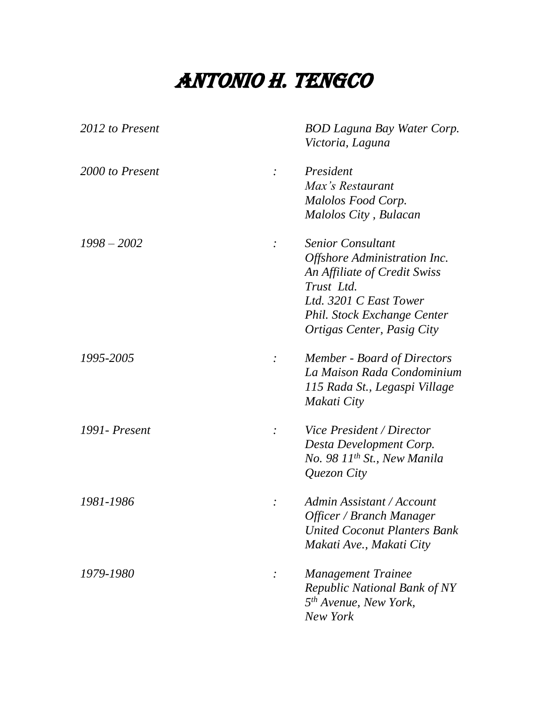| 2012 to Present | <b>BOD Laguna Bay Water Corp.</b><br>Victoria, Laguna |
|-----------------|-------------------------------------------------------|
|                 |                                                       |
| 2000 to Present | President<br>$\cdot$                                  |
|                 | Max's Restaurant                                      |
|                 | Malolos Food Corp.                                    |
|                 | Malolos City, Bulacan                                 |
| $1998 - 2002$   | <b>Senior Consultant</b>                              |
|                 | Offshore Administration Inc.                          |
|                 | An Affiliate of Credit Swiss                          |
|                 | Trust Ltd.                                            |
|                 | Ltd. 3201 C East Tower                                |
|                 | Phil. Stock Exchange Center                           |
|                 | Ortigas Center, Pasig City                            |
| 1995-2005       | <b>Member - Board of Directors</b>                    |
|                 | La Maison Rada Condominium                            |
|                 | 115 Rada St., Legaspi Village                         |
|                 | Makati City                                           |
| 1991 - Present  | Vice President / Director                             |
|                 | Desta Development Corp.                               |
|                 | No. 98 11 <sup>th</sup> St., New Manila               |
|                 | Quezon City                                           |
| 1981-1986       | Admin Assistant / Account                             |
|                 | Officer / Branch Manager                              |
|                 | <b>United Coconut Planters Bank</b>                   |
|                 | Makati Ave., Makati City                              |
| 1979-1980       | <b>Management Trainee</b>                             |
|                 | <b>Republic National Bank of NY</b>                   |
|                 | 5 <sup>th</sup> Avenue, New York,                     |
|                 | New York                                              |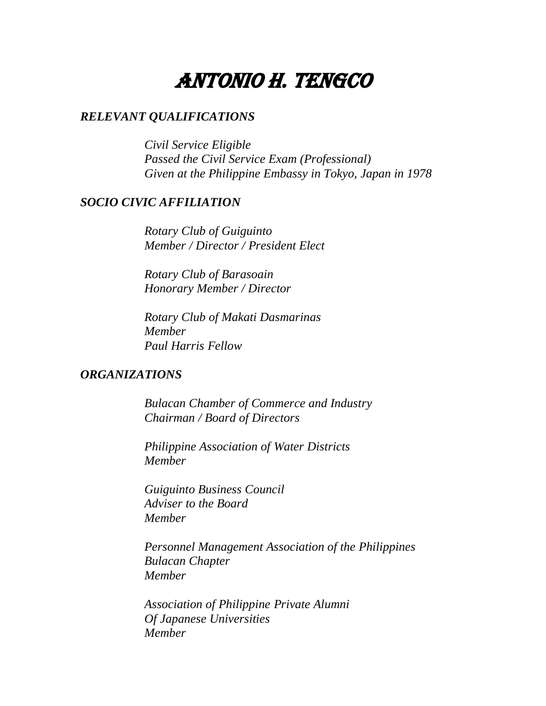### *RELEVANT QUALIFICATIONS*

*Civil Service Eligible Passed the Civil Service Exam (Professional) Given at the Philippine Embassy in Tokyo, Japan in 1978*

### *SOCIO CIVIC AFFILIATION*

*Rotary Club of Guiguinto Member / Director / President Elect*

*Rotary Club of Barasoain Honorary Member / Director*

*Rotary Club of Makati Dasmarinas Member Paul Harris Fellow*

#### *ORGANIZATIONS*

*Bulacan Chamber of Commerce and Industry Chairman / Board of Directors*

*Philippine Association of Water Districts Member*

*Guiguinto Business Council Adviser to the Board Member*

*Personnel Management Association of the Philippines Bulacan Chapter Member*

*Association of Philippine Private Alumni Of Japanese Universities Member*